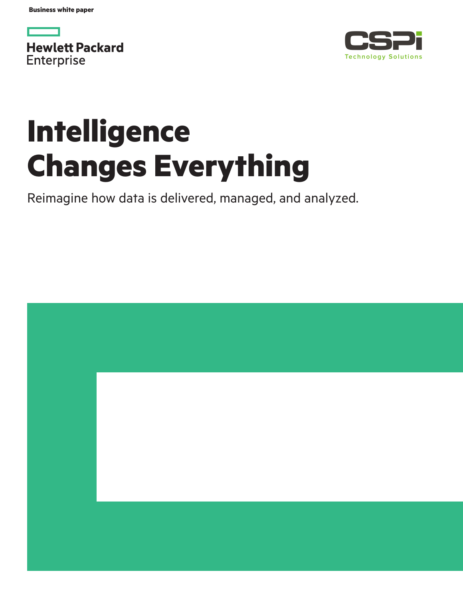**Business white paper**

**Hewlett Packard** Enterprise



# **Intelligence Changes Everything**

Reimagine how data is delivered, managed, and analyzed.

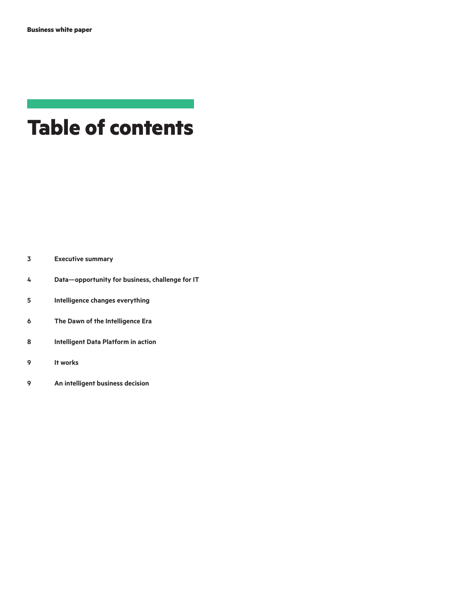# **Table of contents**

| 3 | <b>Executive summary</b> |  |  |
|---|--------------------------|--|--|
|---|--------------------------|--|--|

- **[Data—opportunity for business, challenge for IT](#page-3-0)**
- **[Intelligence changes everything](#page-4-0)**
- **[The Dawn of the Intelligence Era](#page-5-0)**
- **[Intelligent Data Platform in action](#page-7-0)**
- **[It works](#page-8-0)**
- **[An intelligent business decision](#page-8-0)**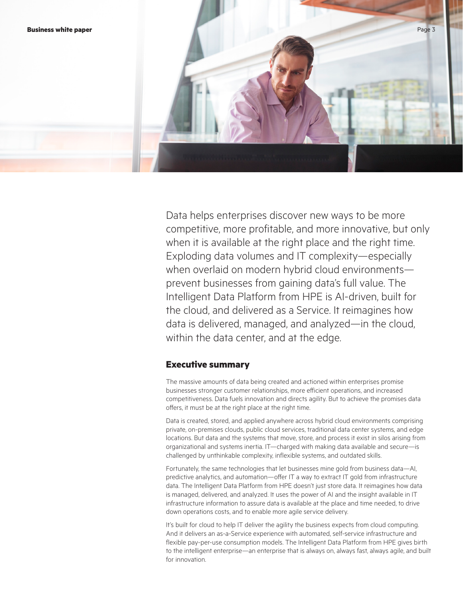<span id="page-2-0"></span>

Data helps enterprises discover new ways to be more competitive, more profitable, and more innovative, but only when it is available at the right place and the right time. Exploding data volumes and IT complexity—especially when overlaid on modern hybrid cloud environments prevent businesses from gaining data's full value. The Intelligent Data Platform from HPE is AI-driven, built for the cloud, and delivered as a Service. It reimagines how data is delivered, managed, and analyzed—in the cloud, within the data center, and at the edge.

# **Executive summary**

The massive amounts of data being created and actioned within enterprises promise businesses stronger customer relationships, more efficient operations, and increased competitiveness. Data fuels innovation and directs agility. But to achieve the promises data offers, it must be at the right place at the right time.

Data is created, stored, and applied anywhere across hybrid cloud environments comprising private, on-premises clouds, public cloud services, traditional data center systems, and edge locations. But data and the systems that move, store, and process it exist in silos arising from organizational and systems inertia. IT—charged with making data available and secure—is challenged by unthinkable complexity, inflexible systems, and outdated skills.

Fortunately, the same technologies that let businesses mine gold from business data—AI, predictive analytics, and automation—offer IT a way to extract IT gold from infrastructure data. The Intelligent Data Platform from HPE doesn't just store data. It reimagines how data is managed, delivered, and analyzed. It uses the power of AI and the insight available in IT infrastructure information to assure data is available at the place and time needed, to drive down operations costs, and to enable more agile service delivery.

It's built for cloud to help IT deliver the agility the business expects from cloud computing. And it delivers an as-a-Service experience with automated, self-service infrastructure and flexible pay-per-use consumption models. The Intelligent Data Platform from HPE gives birth to the intelligent enterprise—an enterprise that is always on, always fast, always agile, and built for innovation.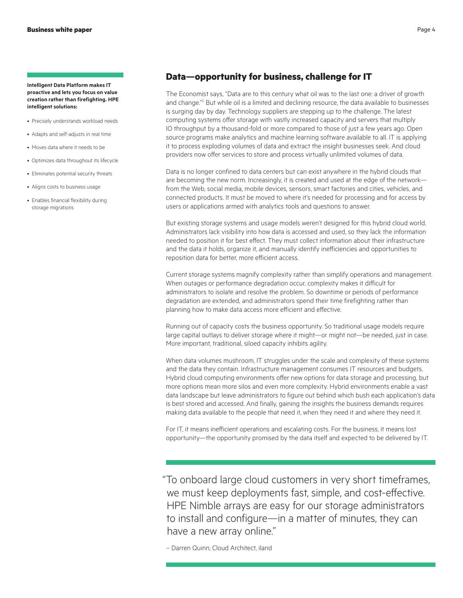<span id="page-3-0"></span>**Intelligent Data Platform makes IT proactive and lets you focus on value creation rather than firefighting. HPE intelligent solutions:**

- Precisely understands workload needs
- Adapts and self-adjusts in real time
- Moves data where it needs to be
- Optimizes data throughout its lifecycle
- Eliminates potential security threats
- Aligns costs to business usage
- Enables financial flexibility during storage migrations

# **Data—opportunity for business, challenge for IT**

The Economist says, "Data are to this century what oil was to the last one: a driver of growth and change."<sup>1</sup> But while oil is a limited and declining resource, the data available to businesses is surging day by day. Technology suppliers are stepping up to the challenge. The latest computing systems offer storage with vastly increased capacity and servers that multiply IO throughput by a thousand-fold or more compared to those of just a few years ago. Open source programs make analytics and machine learning software available to all. IT is applying it to process exploding volumes of data and extract the insight businesses seek. And cloud providers now offer services to store and process virtually unlimited volumes of data.

Data is no longer confined to data centers but can exist anywhere in the hybrid clouds that are becoming the new norm. Increasingly, it is created and used at the edge of the network from the Web, social media, mobile devices, sensors, smart factories and cities, vehicles, and connected products. It must be moved to where it's needed for processing and for access by users or applications armed with analytics tools and questions to answer.

But existing storage systems and usage models weren't designed for this hybrid cloud world. Administrators lack visibility into how data is accessed and used, so they lack the information needed to position it for best effect. They must collect information about their infrastructure and the data it holds, organize it, and manually identify inefficiencies and opportunities to reposition data for better, more efficient access.

Current storage systems magnify complexity rather than simplify operations and management. When outages or performance degradation occur, complexity makes it difficult for administrators to isolate and resolve the problem. So downtime or periods of performance degradation are extended, and administrators spend their time firefighting rather than planning how to make data access more efficient and effective.

Running out of capacity costs the business opportunity. So traditional usage models require large capital outlays to deliver storage where it might—or might not—be needed, just in case. More important, traditional, siloed capacity inhibits agility.

When data volumes mushroom, IT struggles under the scale and complexity of these systems and the data they contain. Infrastructure management consumes IT resources and budgets. Hybrid cloud computing environments offer new options for data storage and processing, but more options mean more silos and even more complexity. Hybrid environments enable a vast data landscape but leave administrators to figure out behind which bush each application's data is best stored and accessed. And finally, gaining the insights the business demands requires making data available to the people that need it, when they need it and where they need it.

For IT, it means inefficient operations and escalating costs. For the business, it means lost opportunity—the opportunity promised by the data itself and expected to be delivered by IT.

"To onboard large cloud customers in very short timeframes, we must keep deployments fast, simple, and cost-effective. HPE Nimble arrays are easy for our storage administrators to install and configure—in a matter of minutes, they can have a new array online."

– Darren Quinn, Cloud Architect, iland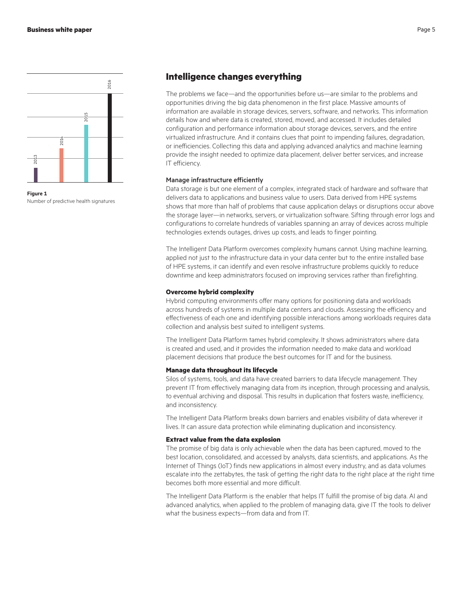<span id="page-4-0"></span>

**Figure 1**

# **Intelligence changes everything**

The problems we face—and the opportunities before us—are similar to the problems and opportunities driving the big data phenomenon in the first place. Massive amounts of information are available in storage devices, servers, software, and networks. This information details how and where data is created, stored, moved, and accessed. It includes detailed configuration and performance information about storage devices, servers, and the entire virtualized infrastructure. And it contains clues that point to impending failures, degradation, or inefficiencies. Collecting this data and applying advanced analytics and machine learning provide the insight needed to optimize data placement, deliver better services, and increase IT efficiency.

#### Manage infrastructure efficiently

Data storage is but one element of a complex, integrated stack of hardware and software that delivers data to applications and business value to users. Data derived from HPE systems shows that more than half of problems that cause application delays or disruptions occur above the storage layer—in networks, servers, or virtualization software. Sifting through error logs and configurations to correlate hundreds of variables spanning an array of devices across multiple technologies extends outages, drives up costs, and leads to finger pointing.

The Intelligent Data Platform overcomes complexity humans cannot. Using machine learning, applied not just to the infrastructure data in your data center but to the entire installed base of HPE systems, it can identify and even resolve infrastructure problems quickly to reduce downtime and keep administrators focused on improving services rather than firefighting.

#### **Overcome hybrid complexity**

Hybrid computing environments offer many options for positioning data and workloads across hundreds of systems in multiple data centers and clouds. Assessing the efficiency and effectiveness of each one and identifying possible interactions among workloads requires data collection and analysis best suited to intelligent systems.

The Intelligent Data Platform tames hybrid complexity. It shows administrators where data is created and used, and it provides the information needed to make data and workload placement decisions that produce the best outcomes for IT and for the business.

#### **Manage data throughout its lifecycle**

Silos of systems, tools, and data have created barriers to data lifecycle management. They prevent IT from effectively managing data from its inception, through processing and analysis, to eventual archiving and disposal. This results in duplication that fosters waste, inefficiency, and inconsistency.

The Intelligent Data Platform breaks down barriers and enables visibility of data wherever it lives. It can assure data protection while eliminating duplication and inconsistency.

#### **Extract value from the data explosion**

The promise of big data is only achievable when the data has been captured, moved to the best location, consolidated, and accessed by analysts, data scientists, and applications. As the Internet of Things (IoT) finds new applications in almost every industry, and as data volumes escalate into the zettabytes, the task of getting the right data to the right place at the right time becomes both more essential and more difficult.

The Intelligent Data Platform is the enabler that helps IT fulfill the promise of big data. AI and advanced analytics, when applied to the problem of managing data, give IT the tools to deliver what the business expects—from data and from IT.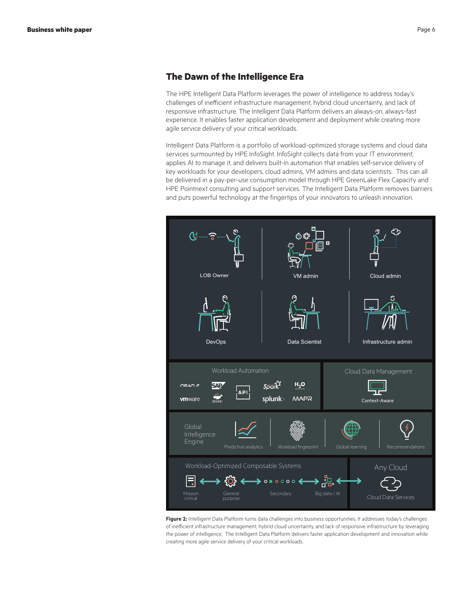# <span id="page-5-0"></span>**The Dawn of the Intelligence Era**

The HPE Intelligent Data Platform leverages the power of intelligence to address today's challenges of inefficient infrastructure management, hybrid cloud uncertainty, and lack of responsive infrastructure. The Intelligent Data Platform delivers an always-on, always-fast experience. It enables faster application development and deployment while creating more agile service delivery of your critical workloads.

Intelligent Data Platform is a portfolio of workload-optimized storage systems and cloud data services surmounted by HPE InfoSight. InfoSight collects data from your IT environment, applies AI to manage it, and delivers built-in automation that enables self-service delivery of key workloads for your developers, cloud admins, VM admins and data scientists. This can all be delivered in a pay-per-use consumption model through HPE GreenLake Flex Capacity and HPE Pointnext consulting and support services. The Intelligent Data Platform removes barriers and puts powerful technology at the fingertips of your innovators to unleash innovation.



Figure 2: Intelligent Data Platform turns data challenges into business opportunities. It addresses today's challenges of inefficient infrastructure management, hybrid cloud uncertainty, and lack of responsive infrastructure by leveraging the power of intelligence. The Intelligent Data Platform delivers faster application development and innovation while creating more agile service delivery of your critical workloads.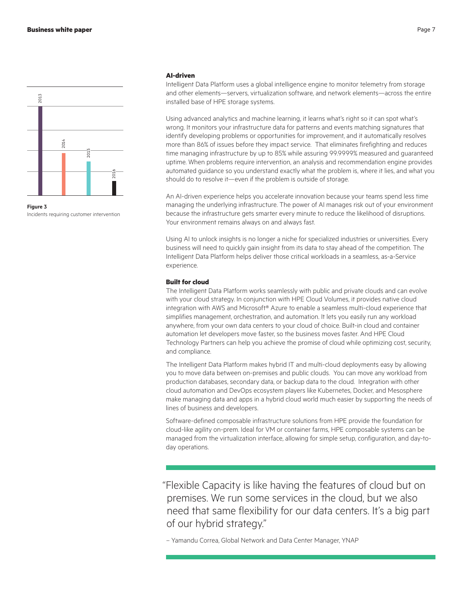

**Figure 3**

#### **AI-driven**

Intelligent Data Platform uses a global intelligence engine to monitor telemetry from storage and other elements—servers, virtualization software, and network elements—across the entire installed base of HPE storage systems.

Using advanced analytics and machine learning, it learns what's right so it can spot what's wrong. It monitors your infrastructure data for patterns and events matching signatures that identify developing problems or opportunities for improvement, and it automatically resolves more than 86% of issues before they impact service. That eliminates firefighting and reduces time managing infrastructure by up to 85% while assuring 99.9999% measured and guaranteed uptime. When problems require intervention, an analysis and recommendation engine provides automated guidance so you understand exactly what the problem is, where it lies, and what you should do to resolve it—even if the problem is outside of storage.

An AI-driven experience helps you accelerate innovation because your teams spend less time managing the underlying infrastructure. The power of AI manages risk out of your environment because the infrastructure gets smarter every minute to reduce the likelihood of disruptions. Your environment remains always on and always fast.

Using AI to unlock insights is no longer a niche for specialized industries or universities. Every business will need to quickly gain insight from its data to stay ahead of the competition. The Intelligent Data Platform helps deliver those critical workloads in a seamless, as-a-Service experience.

#### **Built for cloud**

The Intelligent Data Platform works seamlessly with public and private clouds and can evolve with your cloud strategy. In conjunction with HPE Cloud Volumes, it provides native cloud integration with AWS and Microsoft® Azure to enable a seamless multi-cloud experience that simplifies management, orchestration, and automation. It lets you easily run any workload anywhere, from your own data centers to your cloud of choice. Built-in cloud and container automation let developers move faster, so the business moves faster. And HPE Cloud Technology Partners can help you achieve the promise of cloud while optimizing cost, security, and compliance.

The Intelligent Data Platform makes hybrid IT and multi-cloud deployments easy by allowing you to move data between on-premises and public clouds. You can move any workload from production databases, secondary data, or backup data to the cloud. Integration with other cloud automation and DevOps ecosystem players like Kubernetes, Docker, and Mesosphere make managing data and apps in a hybrid cloud world much easier by supporting the needs of lines of business and developers.

Software-defined composable infrastructure solutions from HPE provide the foundation for cloud-like agility on-prem. Ideal for VM or container farms, HPE composable systems can be managed from the virtualization interface, allowing for simple setup, configuration, and day-today operations.

"Flexible Capacity is like having the features of cloud but on premises. We run some services in the cloud, but we also need that same flexibility for our data centers. It's a big part of our hybrid strategy."

– Yamandu Correa, Global Network and Data Center Manager, YNAP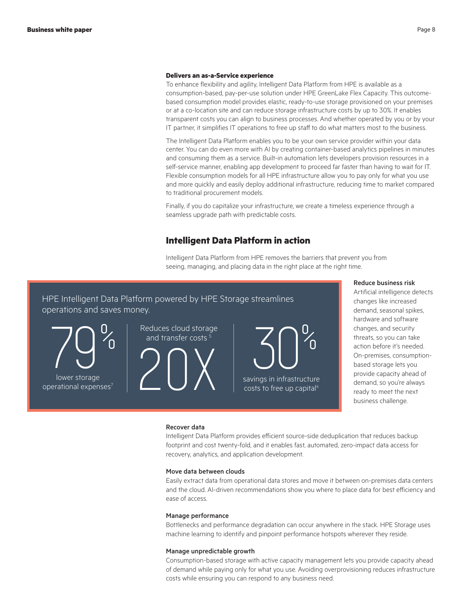#### <span id="page-7-0"></span>**Delivers an as-a-Service experience**

To enhance flexibility and agility, Intelligent Data Platform from HPE is available as a consumption-based, pay-per-use solution under HPE GreenLake Flex Capacity. This outcomebased consumption model provides elastic, ready-to-use storage provisioned on your premises or at a co-location site and can reduce storage infrastructure costs by up to 30%. It enables transparent costs you can align to business processes. And whether operated by you or by your IT partner, it simplifies IT operations to free up staff to do what matters most to the business.

The Intelligent Data Platform enables you to be your own service provider within your data center. You can do even more with AI by creating container-based analytics pipelines in minutes and consuming them as a service. Built-in automation lets developers provision resources in a self-service manner, enabling app development to proceed far faster than having to wait for IT. Flexible consumption models for all HPE infrastructure allow you to pay only for what you use and more quickly and easily deploy additional infrastructure, reducing time to market compared to traditional procurement models.

Finally, if you do capitalize your infrastructure, we create a timeless experience through a seamless upgrade path with predictable costs.

### **Intelligent Data Platform in action**

Intelligent Data Platform from HPE removes the barriers that prevent you from seeing, managing, and placing data in the right place at the right time.

# HPE Intelligent Data Platform powered by HPE Storage streamlines operations and saves money.

operational expense lower storage

and transfer costs

 $\sum_{\text{lower storage}} \left\{\left.\begin{matrix}0\\0\\0\end{matrix}\right.\right\}$   $\left\{\left.\begin{matrix} \text{Reduces cloud storage}\\ \text{and transfer costs}\end{matrix}\right.\right\}$ 

savings in infrastructure costs to free up capital<sup>4</sup> 30% Reduces cloud storage

#### Reduce business risk

Artificial intelligence detects changes like increased demand, seasonal spikes, hardware and software changes, and security threats, so you can take action before it's needed. On-premises, consumptionbased storage lets you provide capacity ahead of demand, so you're always ready to meet the next business challenge.

#### Recover data

Intelligent Data Platform provides efficient source-side deduplication that reduces backup footprint and cost twenty-fold, and it enables fast, automated, zero-impact data access for recovery, analytics, and application development.

#### Move data between clouds

Easily extract data from operational data stores and move it between on-premises data centers and the cloud. AI-driven recommendations show you where to place data for best efficiency and ease of access.

#### Manage performance

Bottlenecks and performance degradation can occur anywhere in the stack. HPE Storage uses machine learning to identify and pinpoint performance hotspots wherever they reside.

#### Manage unpredictable growth

Consumption-based storage with active capacity management lets you provide capacity ahead of demand while paying only for what you use. Avoiding overprovisioning reduces infrastructure costs while ensuring you can respond to any business need.